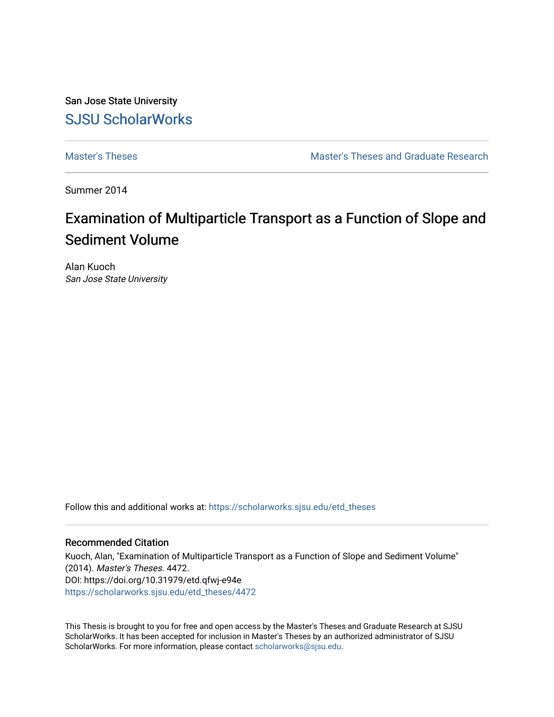San Jose State University [SJSU ScholarWorks](https://scholarworks.sjsu.edu/) 

[Master's Theses](https://scholarworks.sjsu.edu/etd_theses) [Master's Theses and Graduate Research](https://scholarworks.sjsu.edu/etd) 

Summer 2014

# Examination of Multiparticle Transport as a Function of Slope and Sediment Volume

Alan Kuoch San Jose State University

Follow this and additional works at: [https://scholarworks.sjsu.edu/etd\\_theses](https://scholarworks.sjsu.edu/etd_theses?utm_source=scholarworks.sjsu.edu%2Fetd_theses%2F4472&utm_medium=PDF&utm_campaign=PDFCoverPages)

#### Recommended Citation

Kuoch, Alan, "Examination of Multiparticle Transport as a Function of Slope and Sediment Volume" (2014). Master's Theses. 4472. DOI: https://doi.org/10.31979/etd.qfwj-e94e [https://scholarworks.sjsu.edu/etd\\_theses/4472](https://scholarworks.sjsu.edu/etd_theses/4472?utm_source=scholarworks.sjsu.edu%2Fetd_theses%2F4472&utm_medium=PDF&utm_campaign=PDFCoverPages)

This Thesis is brought to you for free and open access by the Master's Theses and Graduate Research at SJSU ScholarWorks. It has been accepted for inclusion in Master's Theses by an authorized administrator of SJSU ScholarWorks. For more information, please contact [scholarworks@sjsu.edu](mailto:scholarworks@sjsu.edu).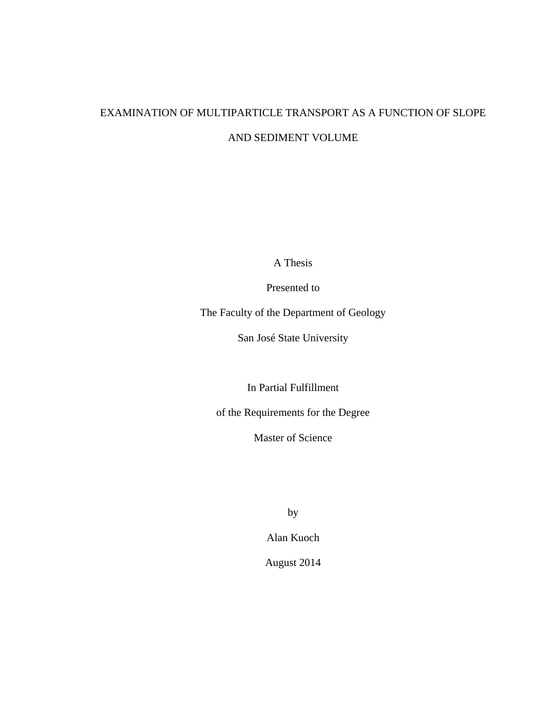# EXAMINATION OF MULTIPARTICLE TRANSPORT AS A FUNCTION OF SLOPE AND SEDIMENT VOLUME

A Thesis

Presented to

The Faculty of the Department of Geology

San José State University

In Partial Fulfillment

of the Requirements for the Degree

Master of Science

by

Alan Kuoch

August 2014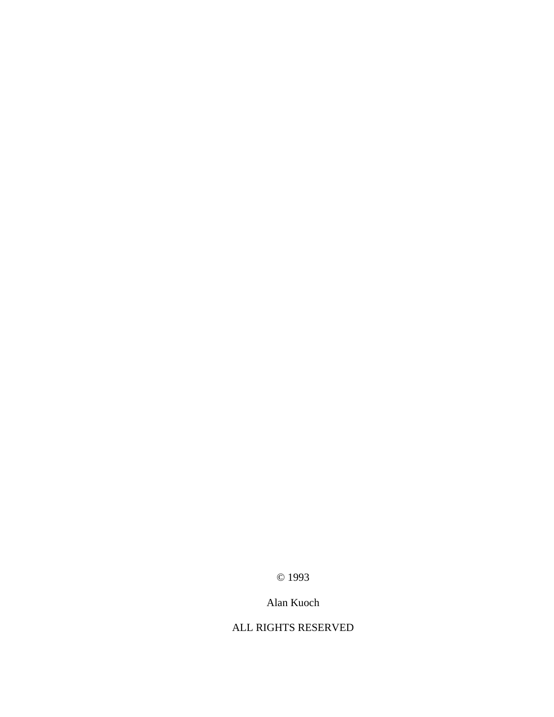© 1993

### Alan Kuoch

### ALL RIGHTS RESERVED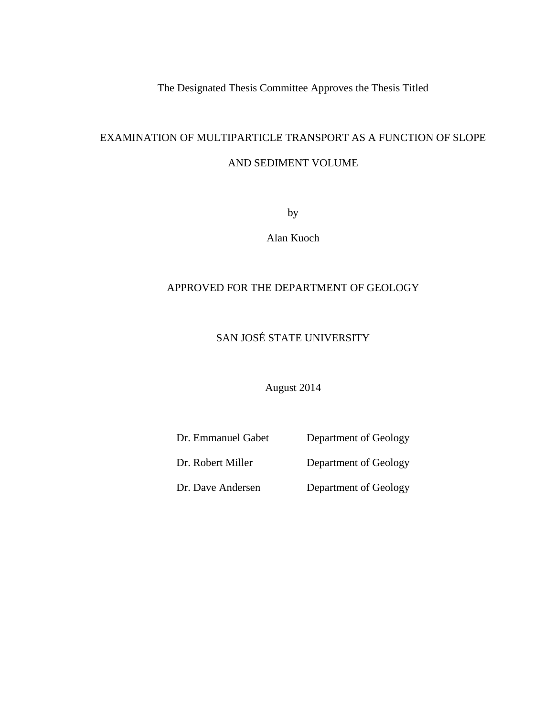The Designated Thesis Committee Approves the Thesis Titled

## EXAMINATION OF MULTIPARTICLE TRANSPORT AS A FUNCTION OF SLOPE AND SEDIMENT VOLUME

by

Alan Kuoch

#### APPROVED FOR THE DEPARTMENT OF GEOLOGY

### SAN JOSÉ STATE UNIVERSITY

August 2014

| Dr. Emmanuel Gabet | Department of Geology |
|--------------------|-----------------------|
| Dr. Robert Miller  | Department of Geology |
| Dr. Dave Andersen  | Department of Geology |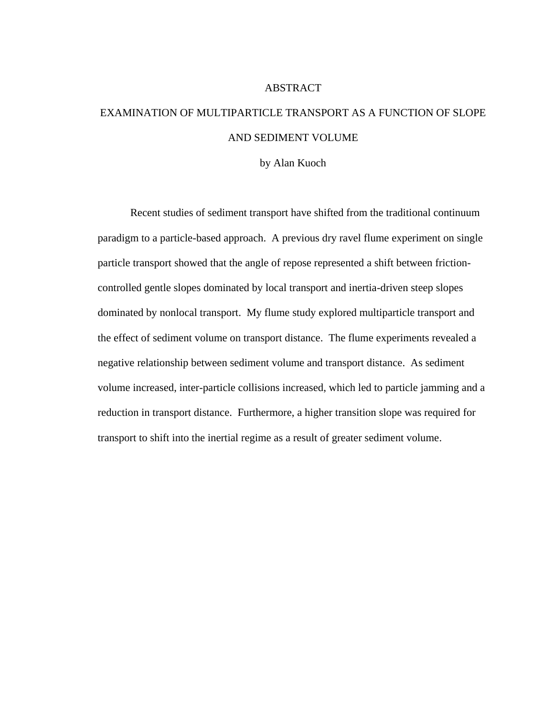#### ABSTRACT

# EXAMINATION OF MULTIPARTICLE TRANSPORT AS A FUNCTION OF SLOPE AND SEDIMENT VOLUME

by Alan Kuoch

Recent studies of sediment transport have shifted from the traditional continuum paradigm to a particle-based approach. A previous dry ravel flume experiment on single particle transport showed that the angle of repose represented a shift between frictioncontrolled gentle slopes dominated by local transport and inertia-driven steep slopes dominated by nonlocal transport. My flume study explored multiparticle transport and the effect of sediment volume on transport distance. The flume experiments revealed a negative relationship between sediment volume and transport distance. As sediment volume increased, inter-particle collisions increased, which led to particle jamming and a reduction in transport distance. Furthermore, a higher transition slope was required for transport to shift into the inertial regime as a result of greater sediment volume.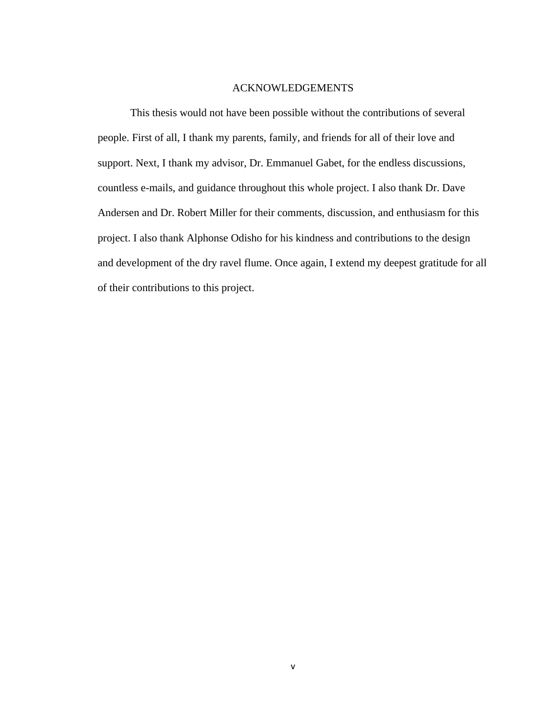#### ACKNOWLEDGEMENTS

This thesis would not have been possible without the contributions of several people. First of all, I thank my parents, family, and friends for all of their love and support. Next, I thank my advisor, Dr. Emmanuel Gabet, for the endless discussions, countless e-mails, and guidance throughout this whole project. I also thank Dr. Dave Andersen and Dr. Robert Miller for their comments, discussion, and enthusiasm for this project. I also thank Alphonse Odisho for his kindness and contributions to the design and development of the dry ravel flume. Once again, I extend my deepest gratitude for all of their contributions to this project.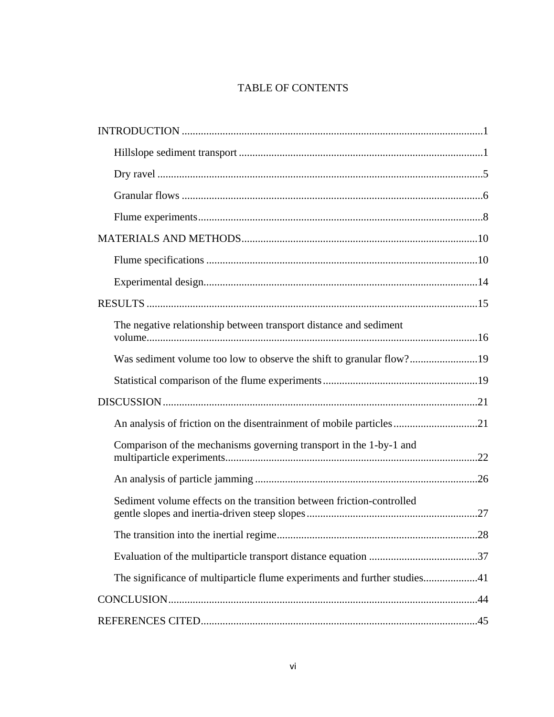### TABLE OF CONTENTS

| The negative relationship between transport distance and sediment         |
|---------------------------------------------------------------------------|
| Was sediment volume too low to observe the shift to granular flow?19      |
|                                                                           |
|                                                                           |
| An analysis of friction on the disentrainment of mobile particles21       |
| Comparison of the mechanisms governing transport in the 1-by-1 and        |
|                                                                           |
| Sediment volume effects on the transition between friction-controlled     |
|                                                                           |
|                                                                           |
| The significance of multiparticle flume experiments and further studies41 |
|                                                                           |
|                                                                           |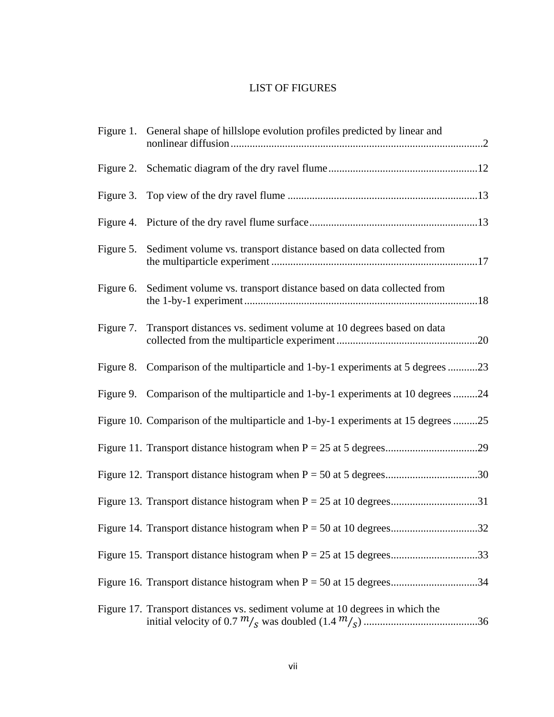### LIST OF FIGURES

|           | Figure 1. General shape of hillslope evolution profiles predicted by linear and    |
|-----------|------------------------------------------------------------------------------------|
|           |                                                                                    |
|           |                                                                                    |
|           |                                                                                    |
| Figure 5. | Sediment volume vs. transport distance based on data collected from                |
| Figure 6. | Sediment volume vs. transport distance based on data collected from                |
| Figure 7. | Transport distances vs. sediment volume at 10 degrees based on data                |
| Figure 8. | Comparison of the multiparticle and 1-by-1 experiments at 5 degrees 23             |
|           | Figure 9. Comparison of the multiparticle and 1-by-1 experiments at 10 degrees 24  |
|           | Figure 10. Comparison of the multiparticle and 1-by-1 experiments at 15 degrees 25 |
|           |                                                                                    |
|           |                                                                                    |
|           |                                                                                    |
|           |                                                                                    |
|           |                                                                                    |
|           |                                                                                    |
|           | Figure 17. Transport distances vs. sediment volume at 10 degrees in which the      |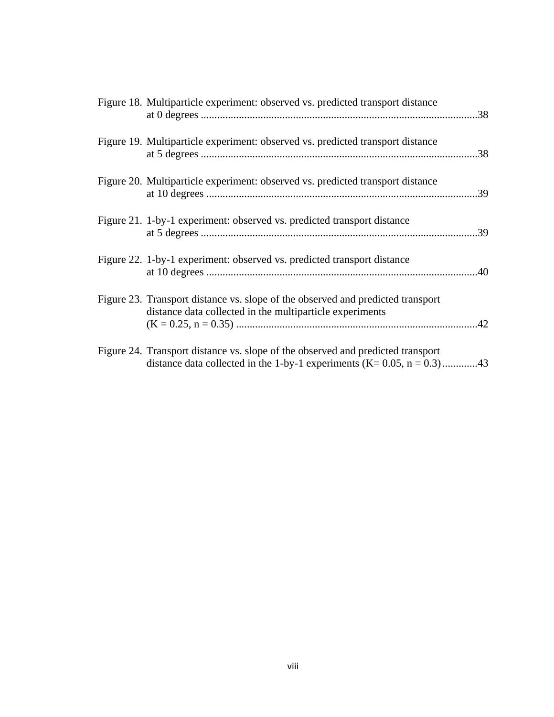| Figure 18. Multiparticle experiment: observed vs. predicted transport distance                                                                                  | .38 |
|-----------------------------------------------------------------------------------------------------------------------------------------------------------------|-----|
| Figure 19. Multiparticle experiment: observed vs. predicted transport distance                                                                                  | .38 |
| Figure 20. Multiparticle experiment: observed vs. predicted transport distance                                                                                  | .39 |
| Figure 21. 1-by-1 experiment: observed vs. predicted transport distance                                                                                         | .39 |
| Figure 22. 1-by-1 experiment: observed vs. predicted transport distance                                                                                         | .40 |
| Figure 23. Transport distance vs. slope of the observed and predicted transport<br>distance data collected in the multiparticle experiments                     | .42 |
| Figure 24. Transport distance vs. slope of the observed and predicted transport<br>distance data collected in the 1-by-1 experiments (K= $0.05$ , n = $0.3$ )43 |     |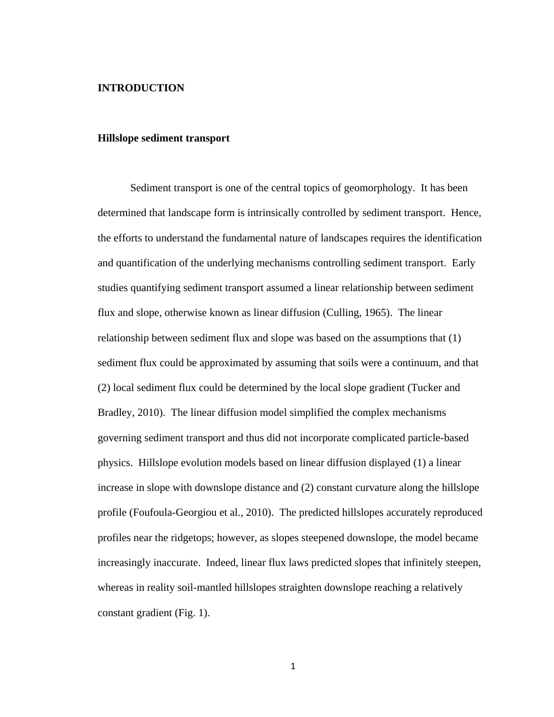#### **INTRODUCTION**

#### **Hillslope sediment transport**

Sediment transport is one of the central topics of geomorphology. It has been determined that landscape form is intrinsically controlled by sediment transport. Hence, the efforts to understand the fundamental nature of landscapes requires the identification and quantification of the underlying mechanisms controlling sediment transport. Early studies quantifying sediment transport assumed a linear relationship between sediment flux and slope, otherwise known as linear diffusion (Culling, 1965). The linear relationship between sediment flux and slope was based on the assumptions that (1) sediment flux could be approximated by assuming that soils were a continuum, and that (2) local sediment flux could be determined by the local slope gradient (Tucker and Bradley, 2010). The linear diffusion model simplified the complex mechanisms governing sediment transport and thus did not incorporate complicated particle-based physics. Hillslope evolution models based on linear diffusion displayed (1) a linear increase in slope with downslope distance and (2) constant curvature along the hillslope profile (Foufoula-Georgiou et al., 2010). The predicted hillslopes accurately reproduced profiles near the ridgetops; however, as slopes steepened downslope, the model became increasingly inaccurate. Indeed, linear flux laws predicted slopes that infinitely steepen, whereas in reality soil-mantled hillslopes straighten downslope reaching a relatively constant gradient (Fig. 1).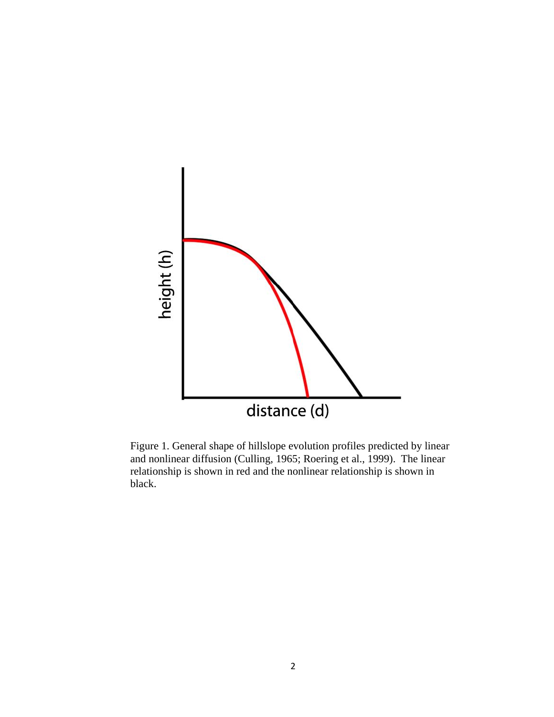

Figure 1. General shape of hillslope evolution profiles predicted by linear and nonlinear diffusion (Culling, 1965; Roering et al., 1999). The linear relationship is shown in red and the nonlinear relationship is shown in black.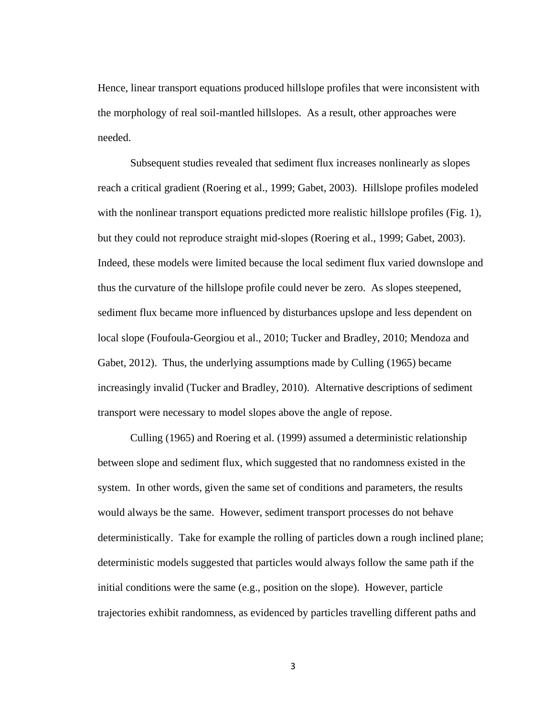Hence, linear transport equations produced hillslope profiles that were inconsistent with the morphology of real soil-mantled hillslopes. As a result, other approaches were needed.

Subsequent studies revealed that sediment flux increases nonlinearly as slopes reach a critical gradient (Roering et al., 1999; Gabet, 2003). Hillslope profiles modeled with the nonlinear transport equations predicted more realistic hillslope profiles (Fig. 1), but they could not reproduce straight mid-slopes (Roering et al., 1999; Gabet, 2003). Indeed, these models were limited because the local sediment flux varied downslope and thus the curvature of the hillslope profile could never be zero. As slopes steepened, sediment flux became more influenced by disturbances upslope and less dependent on local slope (Foufoula-Georgiou et al., 2010; Tucker and Bradley, 2010; Mendoza and Gabet, 2012). Thus, the underlying assumptions made by Culling (1965) became increasingly invalid (Tucker and Bradley, 2010). Alternative descriptions of sediment transport were necessary to model slopes above the angle of repose.

Culling (1965) and Roering et al. (1999) assumed a deterministic relationship between slope and sediment flux, which suggested that no randomness existed in the system. In other words, given the same set of conditions and parameters, the results would always be the same. However, sediment transport processes do not behave deterministically. Take for example the rolling of particles down a rough inclined plane; deterministic models suggested that particles would always follow the same path if the initial conditions were the same (e.g., position on the slope). However, particle trajectories exhibit randomness, as evidenced by particles travelling different paths and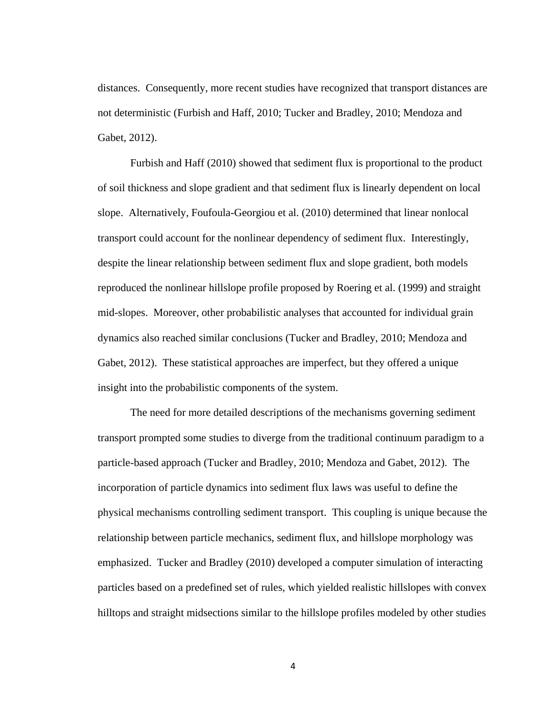distances. Consequently, more recent studies have recognized that transport distances are not deterministic (Furbish and Haff, 2010; Tucker and Bradley, 2010; Mendoza and Gabet, 2012).

Furbish and Haff (2010) showed that sediment flux is proportional to the product of soil thickness and slope gradient and that sediment flux is linearly dependent on local slope. Alternatively, Foufoula-Georgiou et al. (2010) determined that linear nonlocal transport could account for the nonlinear dependency of sediment flux. Interestingly, despite the linear relationship between sediment flux and slope gradient, both models reproduced the nonlinear hillslope profile proposed by Roering et al. (1999) and straight mid-slopes. Moreover, other probabilistic analyses that accounted for individual grain dynamics also reached similar conclusions (Tucker and Bradley, 2010; Mendoza and Gabet, 2012). These statistical approaches are imperfect, but they offered a unique insight into the probabilistic components of the system.

The need for more detailed descriptions of the mechanisms governing sediment transport prompted some studies to diverge from the traditional continuum paradigm to a particle-based approach (Tucker and Bradley, 2010; Mendoza and Gabet, 2012). The incorporation of particle dynamics into sediment flux laws was useful to define the physical mechanisms controlling sediment transport. This coupling is unique because the relationship between particle mechanics, sediment flux, and hillslope morphology was emphasized. Tucker and Bradley (2010) developed a computer simulation of interacting particles based on a predefined set of rules, which yielded realistic hillslopes with convex hilltops and straight midsections similar to the hillslope profiles modeled by other studies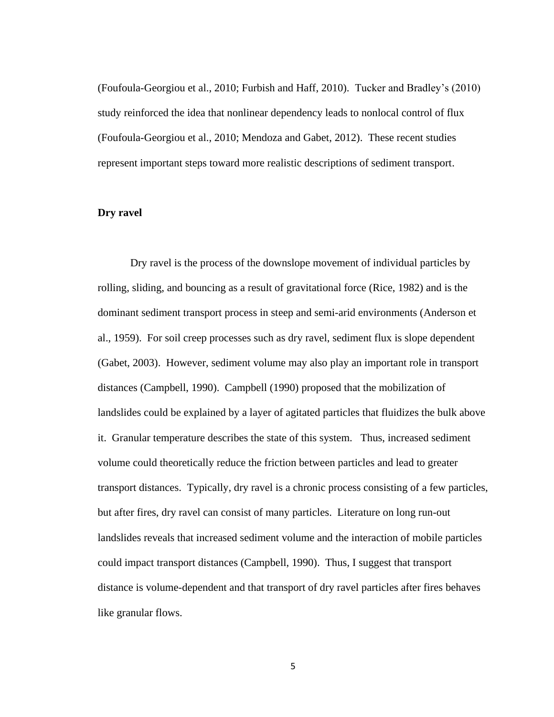(Foufoula-Georgiou et al., 2010; Furbish and Haff, 2010). Tucker and Bradley's (2010) study reinforced the idea that nonlinear dependency leads to nonlocal control of flux (Foufoula-Georgiou et al., 2010; Mendoza and Gabet, 2012). These recent studies represent important steps toward more realistic descriptions of sediment transport.

#### **Dry ravel**

Dry ravel is the process of the downslope movement of individual particles by rolling, sliding, and bouncing as a result of gravitational force (Rice, 1982) and is the dominant sediment transport process in steep and semi-arid environments (Anderson et al., 1959). For soil creep processes such as dry ravel, sediment flux is slope dependent (Gabet, 2003). However, sediment volume may also play an important role in transport distances (Campbell, 1990). Campbell (1990) proposed that the mobilization of landslides could be explained by a layer of agitated particles that fluidizes the bulk above it. Granular temperature describes the state of this system. Thus, increased sediment volume could theoretically reduce the friction between particles and lead to greater transport distances. Typically, dry ravel is a chronic process consisting of a few particles, but after fires, dry ravel can consist of many particles. Literature on long run-out landslides reveals that increased sediment volume and the interaction of mobile particles could impact transport distances (Campbell, 1990). Thus, I suggest that transport distance is volume-dependent and that transport of dry ravel particles after fires behaves like granular flows.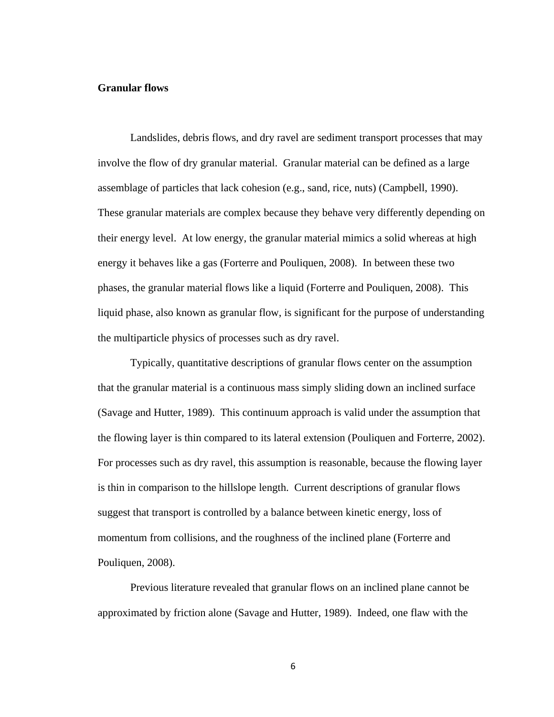#### **Granular flows**

Landslides, debris flows, and dry ravel are sediment transport processes that may involve the flow of dry granular material. Granular material can be defined as a large assemblage of particles that lack cohesion (e.g., sand, rice, nuts) (Campbell, 1990). These granular materials are complex because they behave very differently depending on their energy level. At low energy, the granular material mimics a solid whereas at high energy it behaves like a gas (Forterre and Pouliquen, 2008). In between these two phases, the granular material flows like a liquid (Forterre and Pouliquen, 2008). This liquid phase, also known as granular flow, is significant for the purpose of understanding the multiparticle physics of processes such as dry ravel.

Typically, quantitative descriptions of granular flows center on the assumption that the granular material is a continuous mass simply sliding down an inclined surface (Savage and Hutter, 1989). This continuum approach is valid under the assumption that the flowing layer is thin compared to its lateral extension (Pouliquen and Forterre, 2002). For processes such as dry ravel, this assumption is reasonable, because the flowing layer is thin in comparison to the hillslope length. Current descriptions of granular flows suggest that transport is controlled by a balance between kinetic energy, loss of momentum from collisions, and the roughness of the inclined plane (Forterre and Pouliquen, 2008).

Previous literature revealed that granular flows on an inclined plane cannot be approximated by friction alone (Savage and Hutter, 1989). Indeed, one flaw with the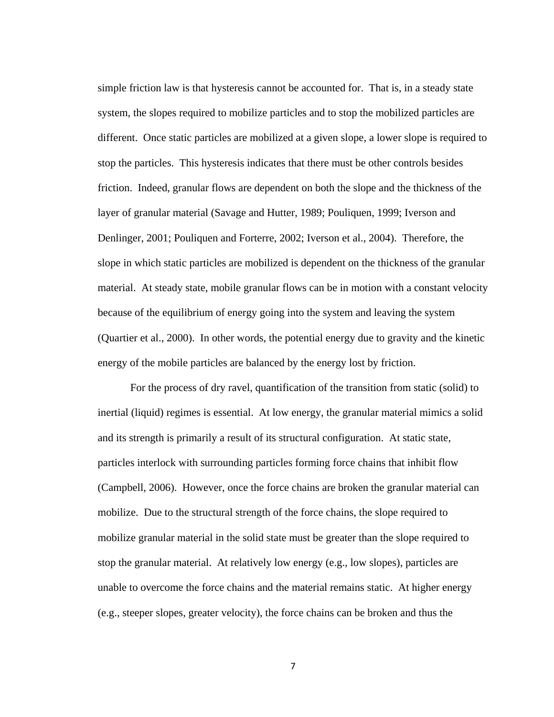simple friction law is that hysteresis cannot be accounted for. That is, in a steady state system, the slopes required to mobilize particles and to stop the mobilized particles are different. Once static particles are mobilized at a given slope, a lower slope is required to stop the particles. This hysteresis indicates that there must be other controls besides friction. Indeed, granular flows are dependent on both the slope and the thickness of the layer of granular material (Savage and Hutter, 1989; Pouliquen, 1999; Iverson and Denlinger, 2001; Pouliquen and Forterre, 2002; Iverson et al., 2004). Therefore, the slope in which static particles are mobilized is dependent on the thickness of the granular material. At steady state, mobile granular flows can be in motion with a constant velocity because of the equilibrium of energy going into the system and leaving the system (Quartier et al., 2000). In other words, the potential energy due to gravity and the kinetic energy of the mobile particles are balanced by the energy lost by friction.

For the process of dry ravel, quantification of the transition from static (solid) to inertial (liquid) regimes is essential. At low energy, the granular material mimics a solid and its strength is primarily a result of its structural configuration. At static state, particles interlock with surrounding particles forming force chains that inhibit flow (Campbell, 2006). However, once the force chains are broken the granular material can mobilize. Due to the structural strength of the force chains, the slope required to mobilize granular material in the solid state must be greater than the slope required to stop the granular material. At relatively low energy (e.g., low slopes), particles are unable to overcome the force chains and the material remains static. At higher energy (e.g., steeper slopes, greater velocity), the force chains can be broken and thus the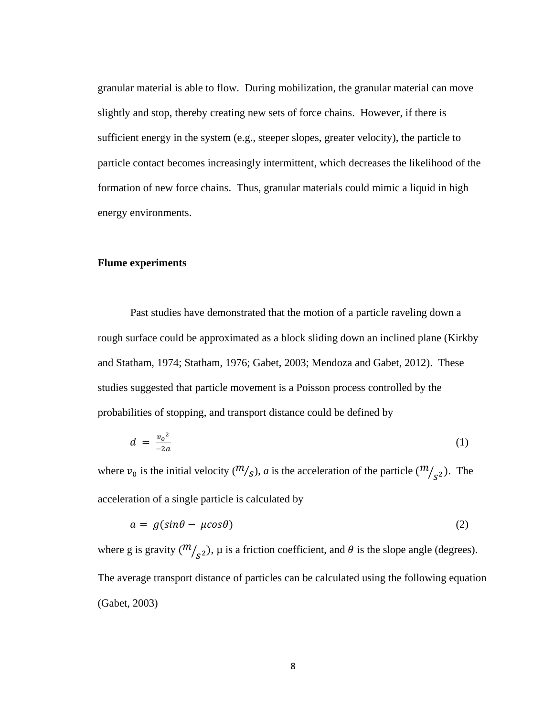granular material is able to flow. During mobilization, the granular material can move slightly and stop, thereby creating new sets of force chains. However, if there is sufficient energy in the system (e.g., steeper slopes, greater velocity), the particle to particle contact becomes increasingly intermittent, which decreases the likelihood of the formation of new force chains. Thus, granular materials could mimic a liquid in high energy environments.

#### **Flume experiments**

Past studies have demonstrated that the motion of a particle raveling down a rough surface could be approximated as a block sliding down an inclined plane (Kirkby and Statham, 1974; Statham, 1976; Gabet, 2003; Mendoza and Gabet, 2012). These studies suggested that particle movement is a Poisson process controlled by the probabilities of stopping, and transport distance could be defined by

$$
d = \frac{v_o^2}{-2a} \tag{1}
$$

where  $v_0$  is the initial velocity  $({\binom{m}{s}}, a$  is the acceleration of the particle  $({\binom{m}{s^2}})$ . The acceleration of a single particle is calculated by

$$
a = g(\sin\theta - \mu\cos\theta) \tag{2}
$$

where g is gravity  $\binom{m}{s^2}$ ,  $\mu$  is a friction coefficient, and  $\theta$  is the slope angle (degrees). The average transport distance of particles can be calculated using the following equation (Gabet, 2003)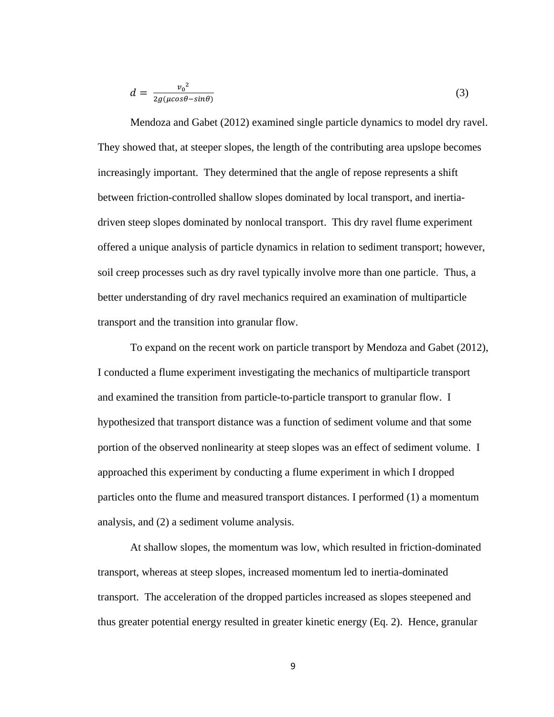$$
d = \frac{v_0^2}{2g(\mu\cos\theta - \sin\theta)}\tag{3}
$$

Mendoza and Gabet (2012) examined single particle dynamics to model dry ravel. They showed that, at steeper slopes, the length of the contributing area upslope becomes increasingly important. They determined that the angle of repose represents a shift between friction-controlled shallow slopes dominated by local transport, and inertiadriven steep slopes dominated by nonlocal transport. This dry ravel flume experiment offered a unique analysis of particle dynamics in relation to sediment transport; however, soil creep processes such as dry ravel typically involve more than one particle. Thus, a better understanding of dry ravel mechanics required an examination of multiparticle transport and the transition into granular flow.

To expand on the recent work on particle transport by Mendoza and Gabet (2012), I conducted a flume experiment investigating the mechanics of multiparticle transport and examined the transition from particle-to-particle transport to granular flow. I hypothesized that transport distance was a function of sediment volume and that some portion of the observed nonlinearity at steep slopes was an effect of sediment volume. I approached this experiment by conducting a flume experiment in which I dropped particles onto the flume and measured transport distances. I performed (1) a momentum analysis, and (2) a sediment volume analysis.

At shallow slopes, the momentum was low, which resulted in friction-dominated transport, whereas at steep slopes, increased momentum led to inertia-dominated transport. The acceleration of the dropped particles increased as slopes steepened and thus greater potential energy resulted in greater kinetic energy (Eq. 2). Hence, granular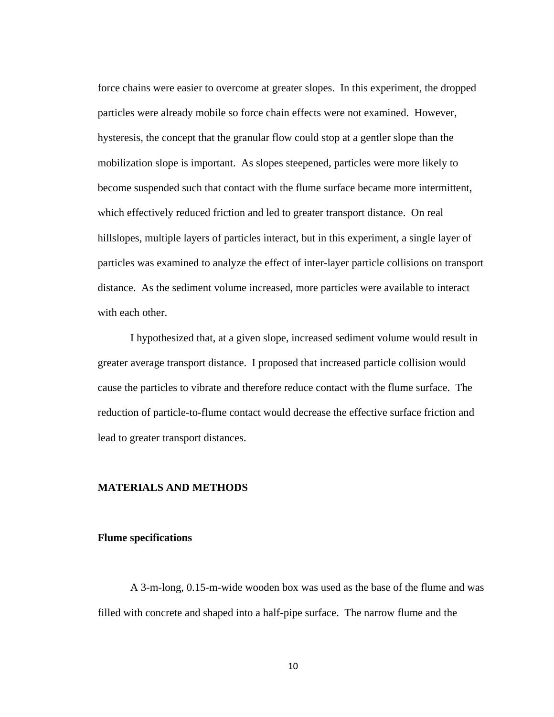force chains were easier to overcome at greater slopes. In this experiment, the dropped particles were already mobile so force chain effects were not examined. However, hysteresis, the concept that the granular flow could stop at a gentler slope than the mobilization slope is important. As slopes steepened, particles were more likely to become suspended such that contact with the flume surface became more intermittent, which effectively reduced friction and led to greater transport distance. On real hillslopes, multiple layers of particles interact, but in this experiment, a single layer of particles was examined to analyze the effect of inter-layer particle collisions on transport distance. As the sediment volume increased, more particles were available to interact with each other.

I hypothesized that, at a given slope, increased sediment volume would result in greater average transport distance. I proposed that increased particle collision would cause the particles to vibrate and therefore reduce contact with the flume surface. The reduction of particle-to-flume contact would decrease the effective surface friction and lead to greater transport distances.

#### **MATERIALS AND METHODS**

#### **Flume specifications**

A 3-m-long, 0.15-m-wide wooden box was used as the base of the flume and was filled with concrete and shaped into a half-pipe surface. The narrow flume and the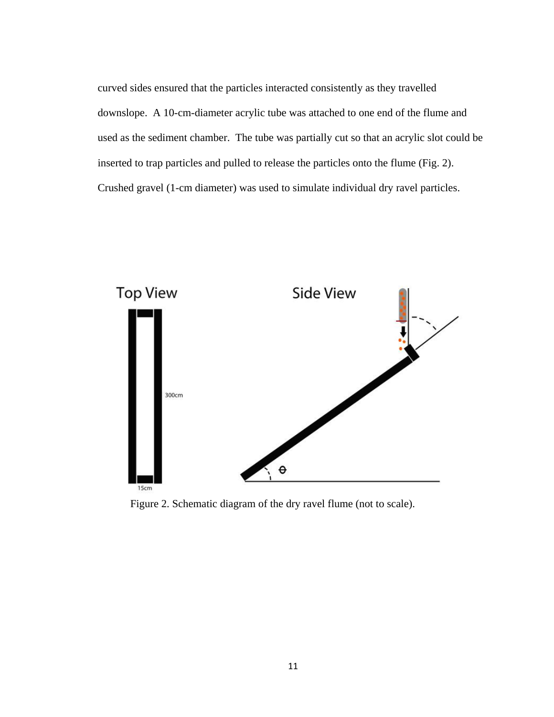curved sides ensured that the particles interacted consistently as they travelled downslope. A 10-cm-diameter acrylic tube was attached to one end of the flume and used as the sediment chamber. The tube was partially cut so that an acrylic slot could be inserted to trap particles and pulled to release the particles onto the flume (Fig. 2). Crushed gravel (1-cm diameter) was used to simulate individual dry ravel particles.



Figure 2. Schematic diagram of the dry ravel flume (not to scale).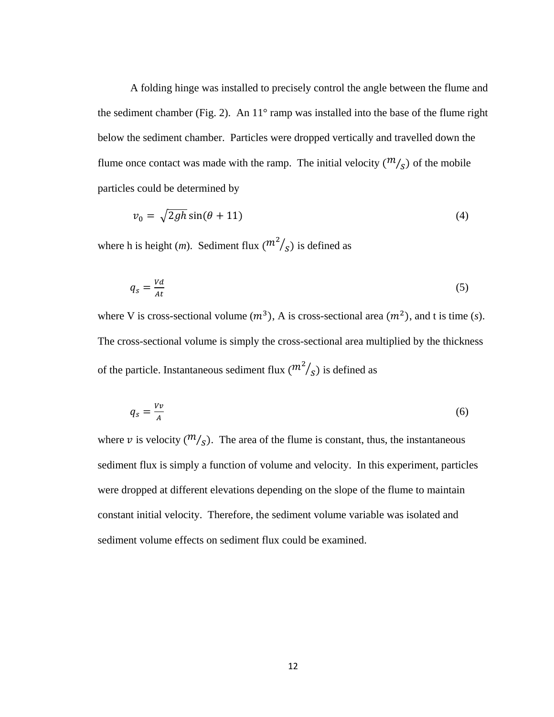A folding hinge was installed to precisely control the angle between the flume and the sediment chamber (Fig. 2). An 11° ramp was installed into the base of the flume right below the sediment chamber. Particles were dropped vertically and travelled down the flume once contact was made with the ramp. The initial velocity  $(\frac{m}{s})$  of the mobile particles could be determined by

$$
v_0 = \sqrt{2gh}\sin(\theta + 11) \tag{4}
$$

where h is height (*m*). Sediment flux  $\binom{m^2}{s}$  is defined as

$$
q_s = \frac{Vd}{At} \tag{5}
$$

where V is cross-sectional volume  $(m^3)$ , A is cross-sectional area  $(m^2)$ , and t is time (*s*). The cross-sectional volume is simply the cross-sectional area multiplied by the thickness of the particle. Instantaneous sediment flux  $\binom{m^2}{s}$  is defined as

$$
q_s = \frac{Vv}{A} \tag{6}
$$

where v is velocity  $(\frac{m}{s})$ . The area of the flume is constant, thus, the instantaneous sediment flux is simply a function of volume and velocity. In this experiment, particles were dropped at different elevations depending on the slope of the flume to maintain constant initial velocity. Therefore, the sediment volume variable was isolated and sediment volume effects on sediment flux could be examined.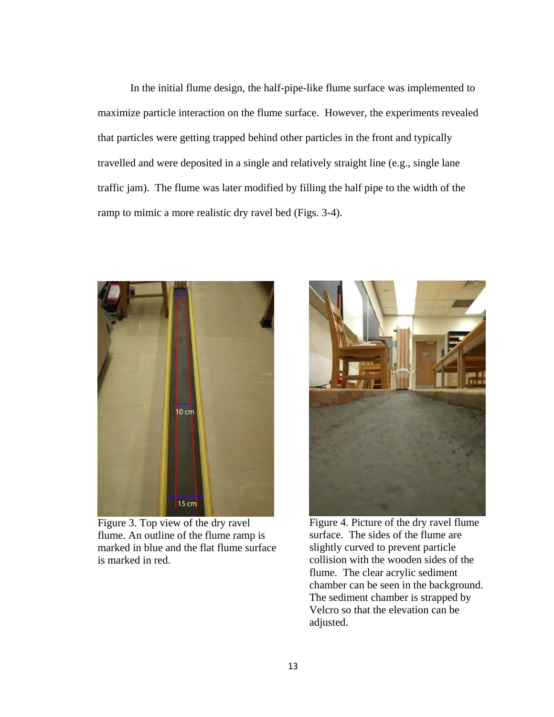In the initial flume design, the half-pipe-like flume surface was implemented to maximize particle interaction on the flume surface. However, the experiments revealed that particles were getting trapped behind other particles in the front and typically travelled and were deposited in a single and relatively straight line (e.g., single lane traffic jam). The flume was later modified by filling the half pipe to the width of the ramp to mimic a more realistic dry ravel bed (Figs. 3-4).



Figure 3. Top view of the dry ravel flume. An outline of the flume ramp is marked in blue and the flat flume surface is marked in red.



Figure 4. Picture of the dry ravel flume surface. The sides of the flume are slightly curved to prevent particle collision with the wooden sides of the flume. The clear acrylic sediment chamber can be seen in the background. The sediment chamber is strapped by Velcro so that the elevation can be adjusted.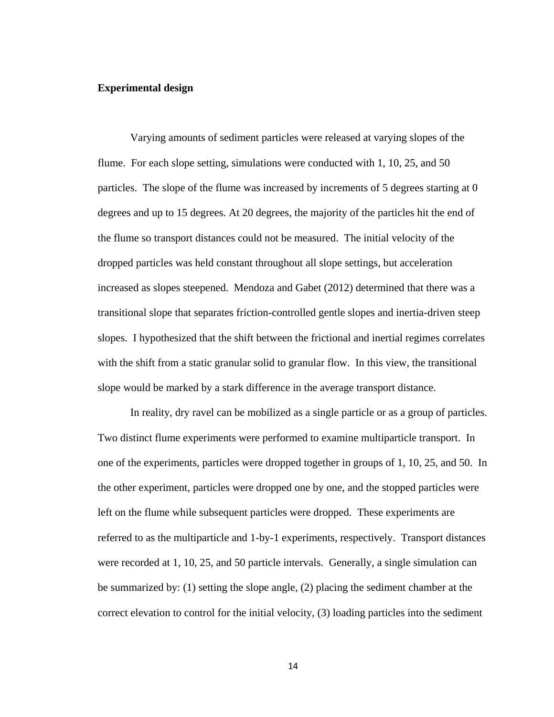#### **Experimental design**

Varying amounts of sediment particles were released at varying slopes of the flume. For each slope setting, simulations were conducted with 1, 10, 25, and 50 particles. The slope of the flume was increased by increments of 5 degrees starting at 0 degrees and up to 15 degrees. At 20 degrees, the majority of the particles hit the end of the flume so transport distances could not be measured. The initial velocity of the dropped particles was held constant throughout all slope settings, but acceleration increased as slopes steepened. Mendoza and Gabet (2012) determined that there was a transitional slope that separates friction-controlled gentle slopes and inertia-driven steep slopes. I hypothesized that the shift between the frictional and inertial regimes correlates with the shift from a static granular solid to granular flow. In this view, the transitional slope would be marked by a stark difference in the average transport distance.

In reality, dry ravel can be mobilized as a single particle or as a group of particles. Two distinct flume experiments were performed to examine multiparticle transport. In one of the experiments, particles were dropped together in groups of 1, 10, 25, and 50. In the other experiment, particles were dropped one by one, and the stopped particles were left on the flume while subsequent particles were dropped. These experiments are referred to as the multiparticle and 1-by-1 experiments, respectively. Transport distances were recorded at 1, 10, 25, and 50 particle intervals. Generally, a single simulation can be summarized by: (1) setting the slope angle, (2) placing the sediment chamber at the correct elevation to control for the initial velocity, (3) loading particles into the sediment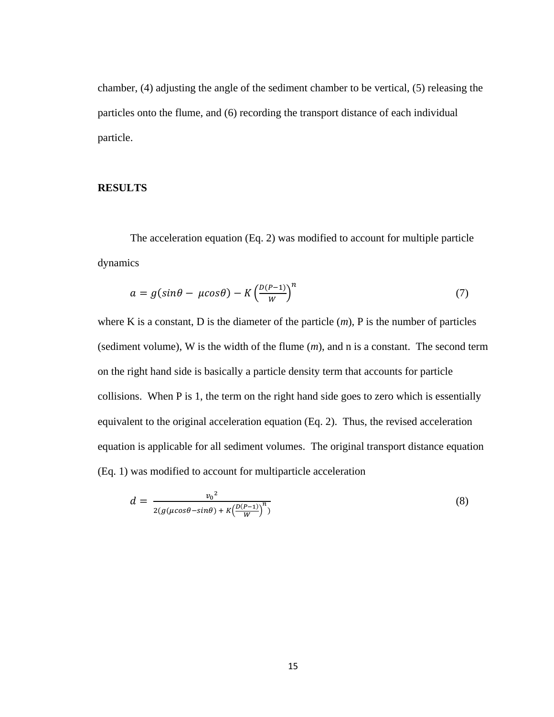chamber, (4) adjusting the angle of the sediment chamber to be vertical, (5) releasing the particles onto the flume, and (6) recording the transport distance of each individual particle.

#### **RESULTS**

The acceleration equation (Eq. 2) was modified to account for multiple particle dynamics

$$
a = g(\sin\theta - \mu\cos\theta) - K\left(\frac{D(P-1)}{W}\right)^n \tag{7}
$$

where K is a constant, D is the diameter of the particle  $(m)$ , P is the number of particles (sediment volume), W is the width of the flume (*m*), and n is a constant. The second term on the right hand side is basically a particle density term that accounts for particle collisions. When P is 1, the term on the right hand side goes to zero which is essentially equivalent to the original acceleration equation (Eq. 2). Thus, the revised acceleration equation is applicable for all sediment volumes. The original transport distance equation (Eq. 1) was modified to account for multiparticle acceleration

$$
d = \frac{v_0^2}{2(g(\mu\cos\theta - \sin\theta) + K\left(\frac{D(P-1)}{W}\right)^n)}
$$
(8)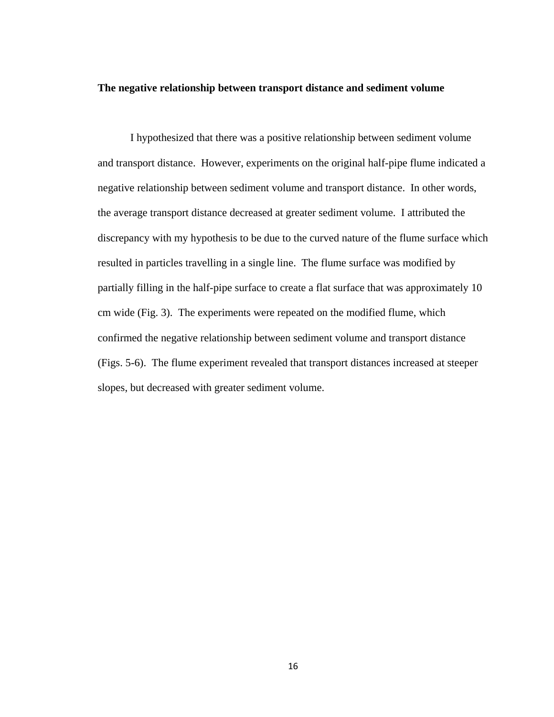#### **The negative relationship between transport distance and sediment volume**

I hypothesized that there was a positive relationship between sediment volume and transport distance. However, experiments on the original half-pipe flume indicated a negative relationship between sediment volume and transport distance. In other words, the average transport distance decreased at greater sediment volume. I attributed the discrepancy with my hypothesis to be due to the curved nature of the flume surface which resulted in particles travelling in a single line. The flume surface was modified by partially filling in the half-pipe surface to create a flat surface that was approximately 10 cm wide (Fig. 3). The experiments were repeated on the modified flume, which confirmed the negative relationship between sediment volume and transport distance (Figs. 5-6). The flume experiment revealed that transport distances increased at steeper slopes, but decreased with greater sediment volume.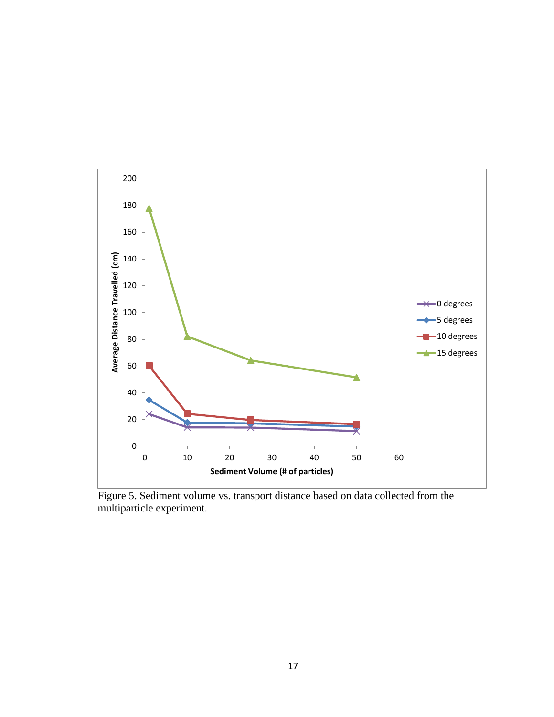

Figure 5. Sediment volume vs. transport distance based on data collected from the multiparticle experiment.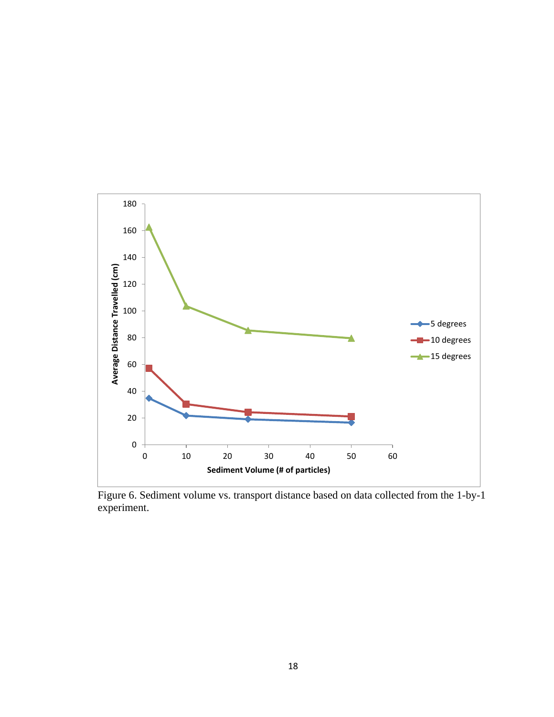

Figure 6. Sediment volume vs. transport distance based on data collected from the 1-by-1 experiment.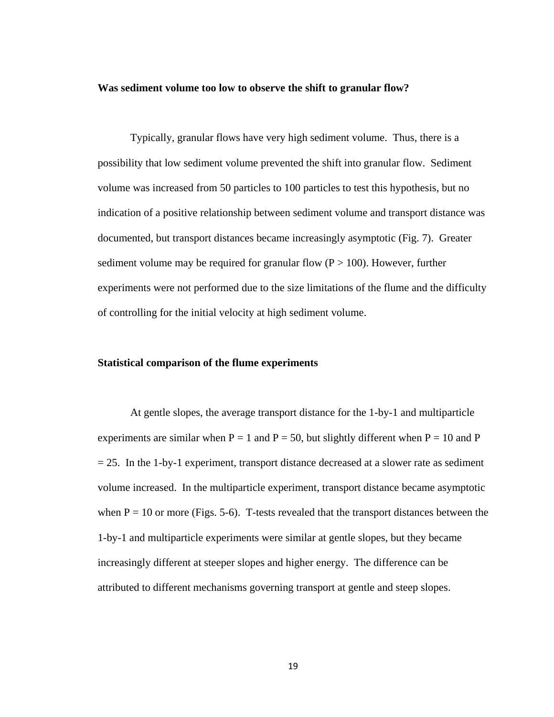#### **Was sediment volume too low to observe the shift to granular flow?**

Typically, granular flows have very high sediment volume. Thus, there is a possibility that low sediment volume prevented the shift into granular flow. Sediment volume was increased from 50 particles to 100 particles to test this hypothesis, but no indication of a positive relationship between sediment volume and transport distance was documented, but transport distances became increasingly asymptotic (Fig. 7). Greater sediment volume may be required for granular flow  $(P > 100)$ . However, further experiments were not performed due to the size limitations of the flume and the difficulty of controlling for the initial velocity at high sediment volume.

#### **Statistical comparison of the flume experiments**

At gentle slopes, the average transport distance for the 1-by-1 and multiparticle experiments are similar when  $P = 1$  and  $P = 50$ , but slightly different when  $P = 10$  and P  $= 25$ . In the 1-by-1 experiment, transport distance decreased at a slower rate as sediment volume increased. In the multiparticle experiment, transport distance became asymptotic when  $P = 10$  or more (Figs. 5-6). T-tests revealed that the transport distances between the 1-by-1 and multiparticle experiments were similar at gentle slopes, but they became increasingly different at steeper slopes and higher energy. The difference can be attributed to different mechanisms governing transport at gentle and steep slopes.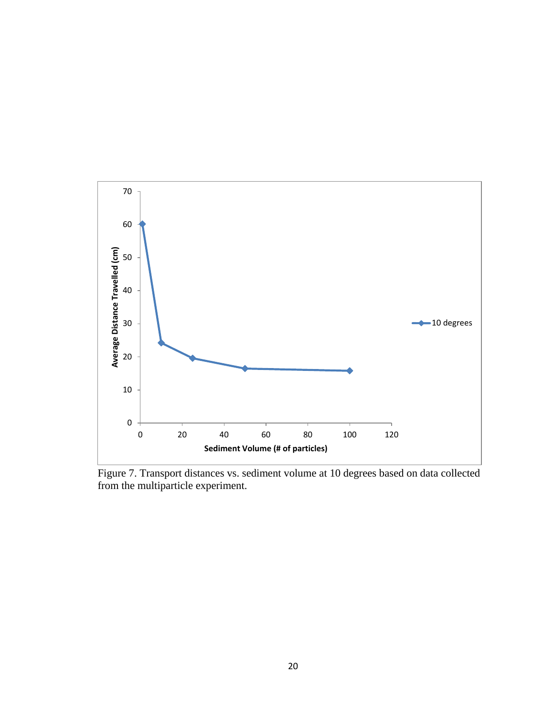

Figure 7. Transport distances vs. sediment volume at 10 degrees based on data collected from the multiparticle experiment.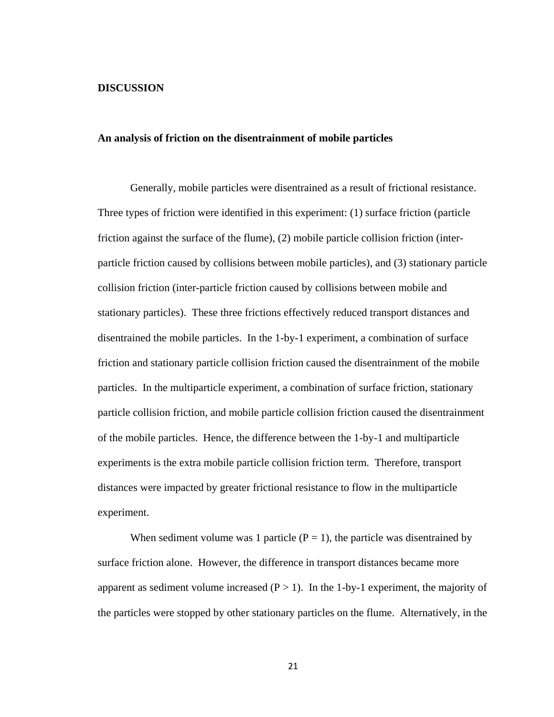#### **DISCUSSION**

#### **An analysis of friction on the disentrainment of mobile particles**

Generally, mobile particles were disentrained as a result of frictional resistance. Three types of friction were identified in this experiment: (1) surface friction (particle friction against the surface of the flume), (2) mobile particle collision friction (interparticle friction caused by collisions between mobile particles), and (3) stationary particle collision friction (inter-particle friction caused by collisions between mobile and stationary particles). These three frictions effectively reduced transport distances and disentrained the mobile particles. In the 1-by-1 experiment, a combination of surface friction and stationary particle collision friction caused the disentrainment of the mobile particles. In the multiparticle experiment, a combination of surface friction, stationary particle collision friction, and mobile particle collision friction caused the disentrainment of the mobile particles. Hence, the difference between the 1-by-1 and multiparticle experiments is the extra mobile particle collision friction term. Therefore, transport distances were impacted by greater frictional resistance to flow in the multiparticle experiment.

When sediment volume was 1 particle ( $P = 1$ ), the particle was disentrained by surface friction alone. However, the difference in transport distances became more apparent as sediment volume increased  $(P > 1)$ . In the 1-by-1 experiment, the majority of the particles were stopped by other stationary particles on the flume. Alternatively, in the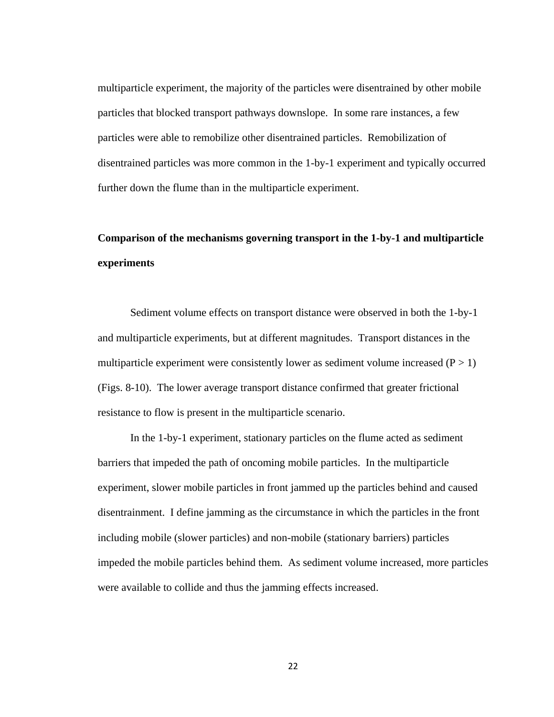multiparticle experiment, the majority of the particles were disentrained by other mobile particles that blocked transport pathways downslope. In some rare instances, a few particles were able to remobilize other disentrained particles. Remobilization of disentrained particles was more common in the 1-by-1 experiment and typically occurred further down the flume than in the multiparticle experiment.

## **Comparison of the mechanisms governing transport in the 1-by-1 and multiparticle experiments**

Sediment volume effects on transport distance were observed in both the 1-by-1 and multiparticle experiments, but at different magnitudes. Transport distances in the multiparticle experiment were consistently lower as sediment volume increased  $(P > 1)$ (Figs. 8-10). The lower average transport distance confirmed that greater frictional resistance to flow is present in the multiparticle scenario.

In the 1-by-1 experiment, stationary particles on the flume acted as sediment barriers that impeded the path of oncoming mobile particles. In the multiparticle experiment, slower mobile particles in front jammed up the particles behind and caused disentrainment. I define jamming as the circumstance in which the particles in the front including mobile (slower particles) and non-mobile (stationary barriers) particles impeded the mobile particles behind them. As sediment volume increased, more particles were available to collide and thus the jamming effects increased.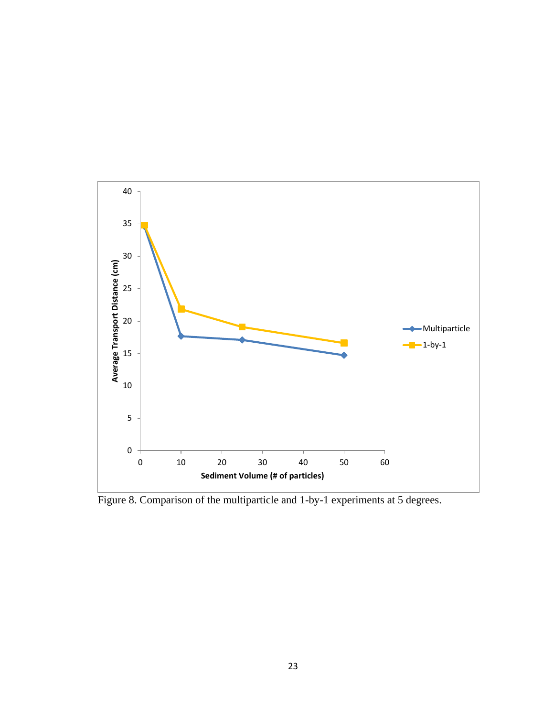

Figure 8. Comparison of the multiparticle and 1-by-1 experiments at 5 degrees.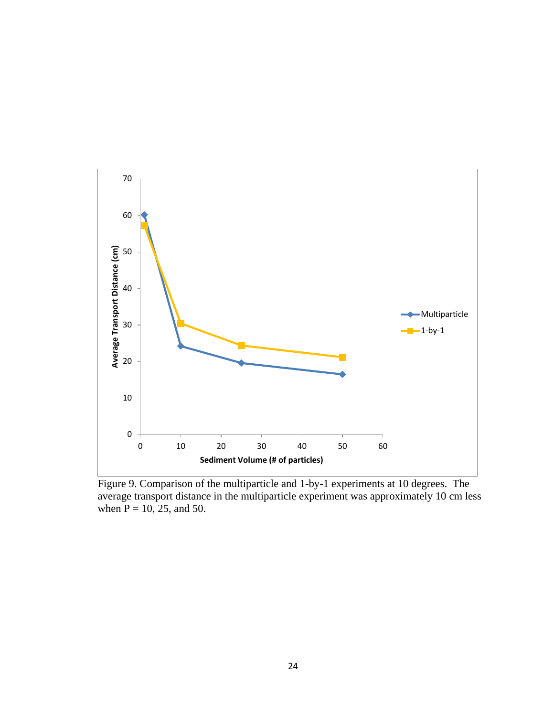

Figure 9. Comparison of the multiparticle and 1-by-1 experiments at 10 degrees. The average transport distance in the multiparticle experiment was approximately 10 cm less when  $P = 10$ , 25, and 50.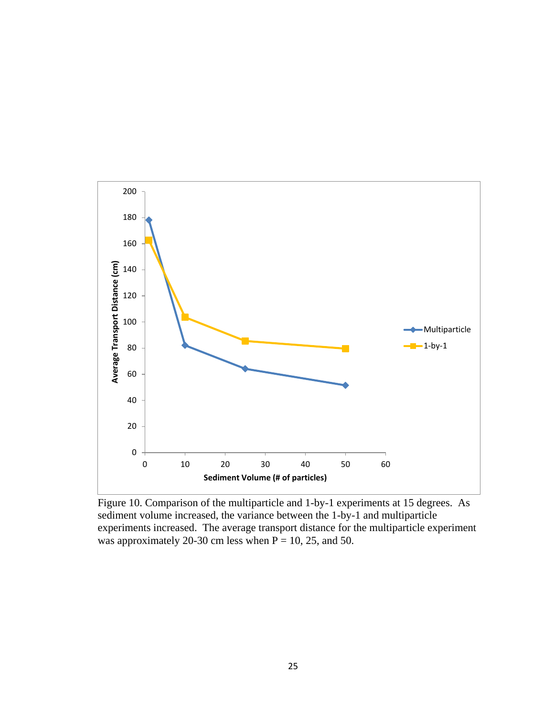

Figure 10. Comparison of the multiparticle and 1-by-1 experiments at 15 degrees. As sediment volume increased, the variance between the 1-by-1 and multiparticle experiments increased. The average transport distance for the multiparticle experiment was approximately 20-30 cm less when  $P = 10$ , 25, and 50.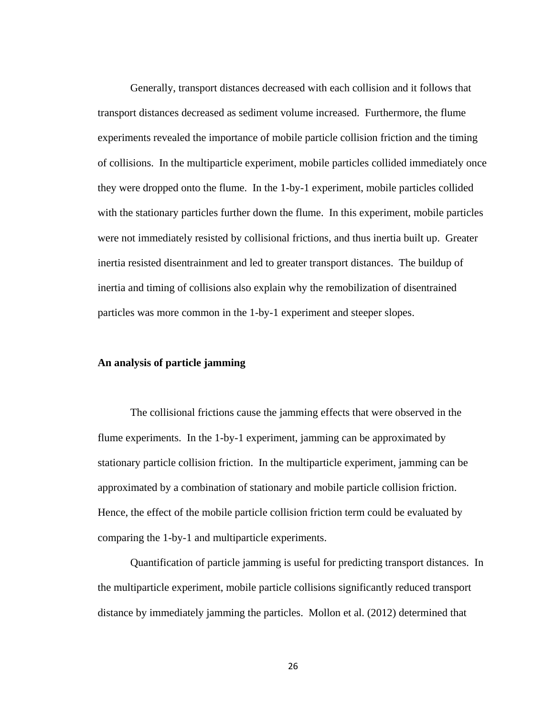Generally, transport distances decreased with each collision and it follows that transport distances decreased as sediment volume increased. Furthermore, the flume experiments revealed the importance of mobile particle collision friction and the timing of collisions. In the multiparticle experiment, mobile particles collided immediately once they were dropped onto the flume. In the 1-by-1 experiment, mobile particles collided with the stationary particles further down the flume. In this experiment, mobile particles were not immediately resisted by collisional frictions, and thus inertia built up. Greater inertia resisted disentrainment and led to greater transport distances. The buildup of inertia and timing of collisions also explain why the remobilization of disentrained particles was more common in the 1-by-1 experiment and steeper slopes.

#### **An analysis of particle jamming**

The collisional frictions cause the jamming effects that were observed in the flume experiments. In the 1-by-1 experiment, jamming can be approximated by stationary particle collision friction. In the multiparticle experiment, jamming can be approximated by a combination of stationary and mobile particle collision friction. Hence, the effect of the mobile particle collision friction term could be evaluated by comparing the 1-by-1 and multiparticle experiments.

Quantification of particle jamming is useful for predicting transport distances. In the multiparticle experiment, mobile particle collisions significantly reduced transport distance by immediately jamming the particles. Mollon et al. (2012) determined that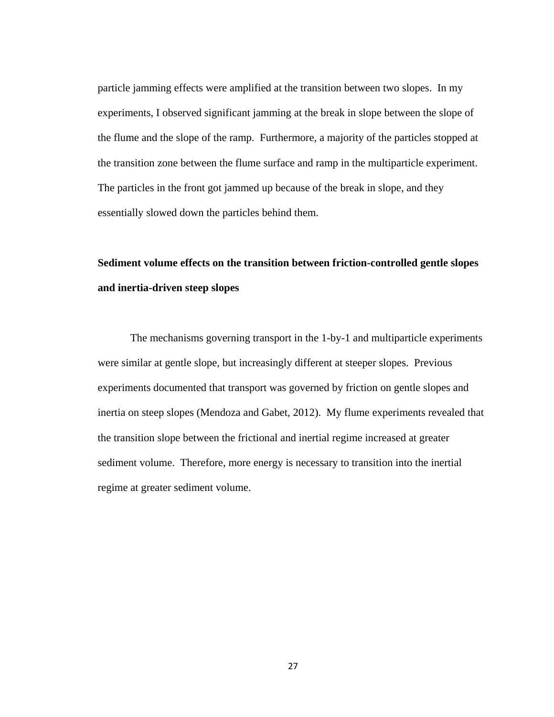particle jamming effects were amplified at the transition between two slopes. In my experiments, I observed significant jamming at the break in slope between the slope of the flume and the slope of the ramp. Furthermore, a majority of the particles stopped at the transition zone between the flume surface and ramp in the multiparticle experiment. The particles in the front got jammed up because of the break in slope, and they essentially slowed down the particles behind them.

## **Sediment volume effects on the transition between friction-controlled gentle slopes and inertia-driven steep slopes**

The mechanisms governing transport in the 1-by-1 and multiparticle experiments were similar at gentle slope, but increasingly different at steeper slopes. Previous experiments documented that transport was governed by friction on gentle slopes and inertia on steep slopes (Mendoza and Gabet, 2012). My flume experiments revealed that the transition slope between the frictional and inertial regime increased at greater sediment volume. Therefore, more energy is necessary to transition into the inertial regime at greater sediment volume.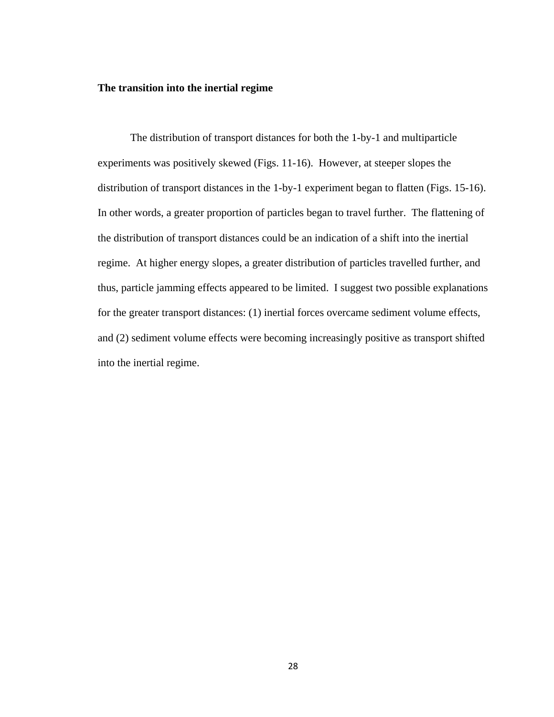#### **The transition into the inertial regime**

The distribution of transport distances for both the 1-by-1 and multiparticle experiments was positively skewed (Figs. 11-16). However, at steeper slopes the distribution of transport distances in the 1-by-1 experiment began to flatten (Figs. 15-16). In other words, a greater proportion of particles began to travel further. The flattening of the distribution of transport distances could be an indication of a shift into the inertial regime. At higher energy slopes, a greater distribution of particles travelled further, and thus, particle jamming effects appeared to be limited. I suggest two possible explanations for the greater transport distances: (1) inertial forces overcame sediment volume effects, and (2) sediment volume effects were becoming increasingly positive as transport shifted into the inertial regime.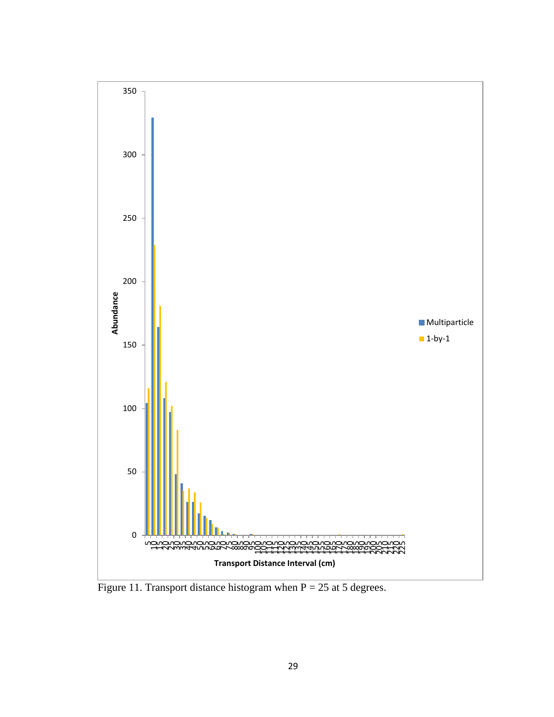

Figure 11. Transport distance histogram when  $P = 25$  at 5 degrees.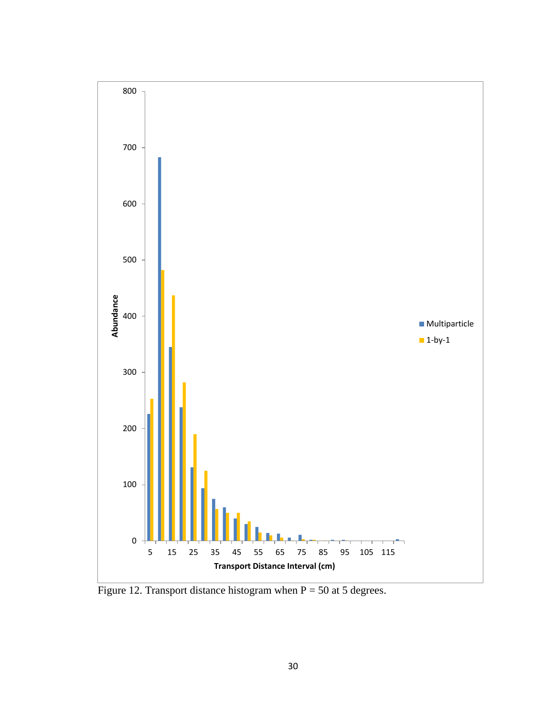

Figure 12. Transport distance histogram when  $P = 50$  at 5 degrees.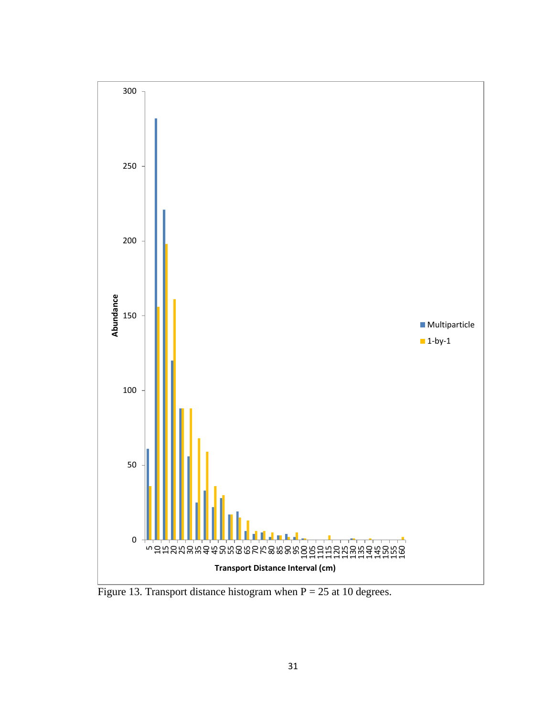

Figure 13. Transport distance histogram when  $P = 25$  at 10 degrees.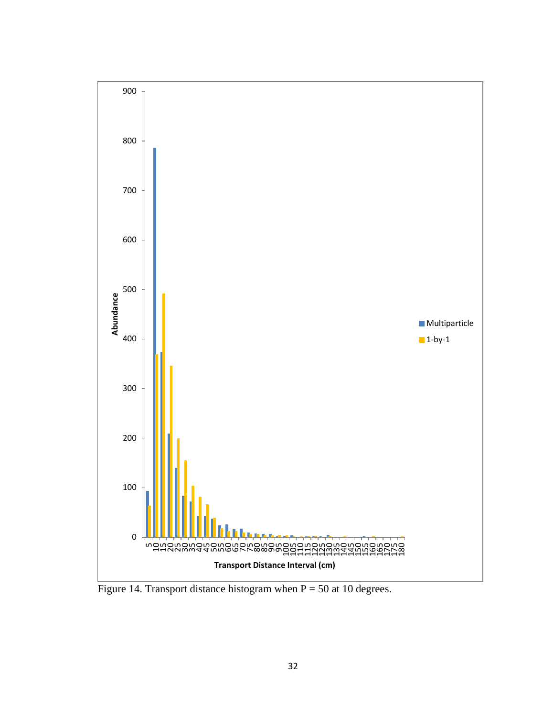

Figure 14. Transport distance histogram when  $P = 50$  at 10 degrees.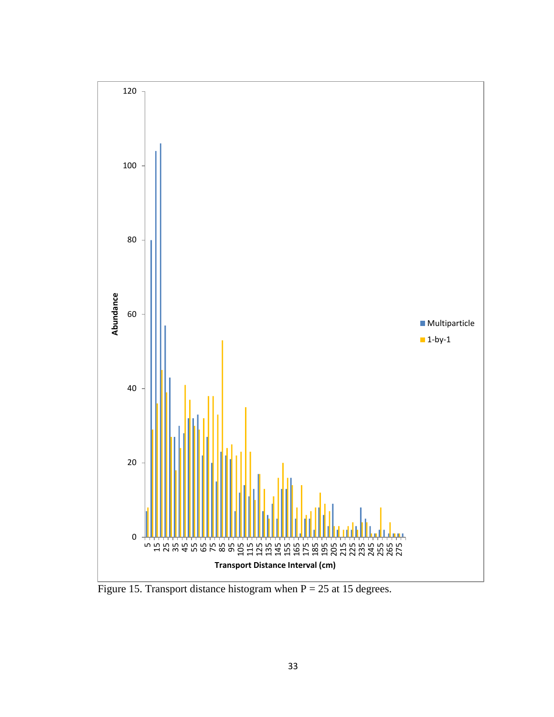

Figure 15. Transport distance histogram when  $P = 25$  at 15 degrees.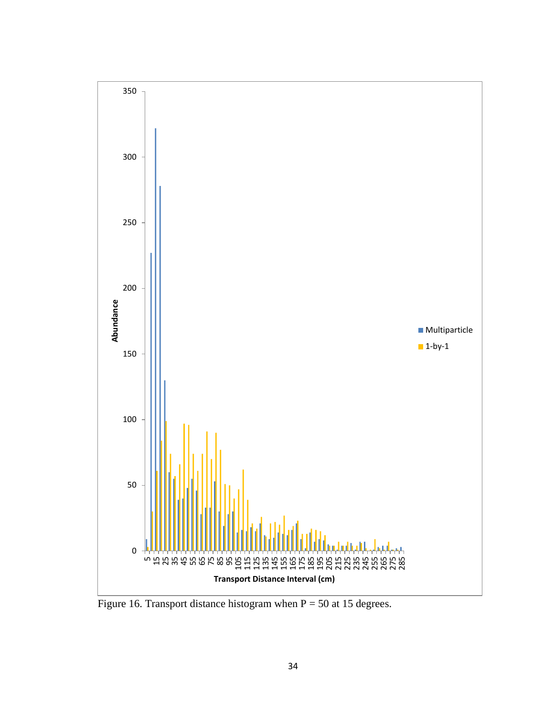

Figure 16. Transport distance histogram when  $P = 50$  at 15 degrees.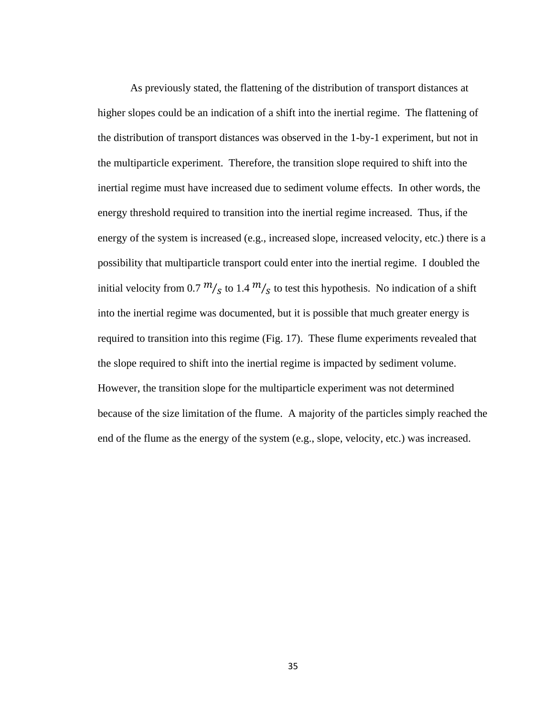As previously stated, the flattening of the distribution of transport distances at higher slopes could be an indication of a shift into the inertial regime. The flattening of the distribution of transport distances was observed in the 1-by-1 experiment, but not in the multiparticle experiment. Therefore, the transition slope required to shift into the inertial regime must have increased due to sediment volume effects. In other words, the energy threshold required to transition into the inertial regime increased. Thus, if the energy of the system is increased (e.g., increased slope, increased velocity, etc.) there is a possibility that multiparticle transport could enter into the inertial regime. I doubled the initial velocity from 0.7  $\frac{m}{s}$  to 1.4  $\frac{m}{s}$  to test this hypothesis. No indication of a shift into the inertial regime was documented, but it is possible that much greater energy is required to transition into this regime (Fig. 17). These flume experiments revealed that the slope required to shift into the inertial regime is impacted by sediment volume. However, the transition slope for the multiparticle experiment was not determined because of the size limitation of the flume. A majority of the particles simply reached the end of the flume as the energy of the system (e.g., slope, velocity, etc.) was increased.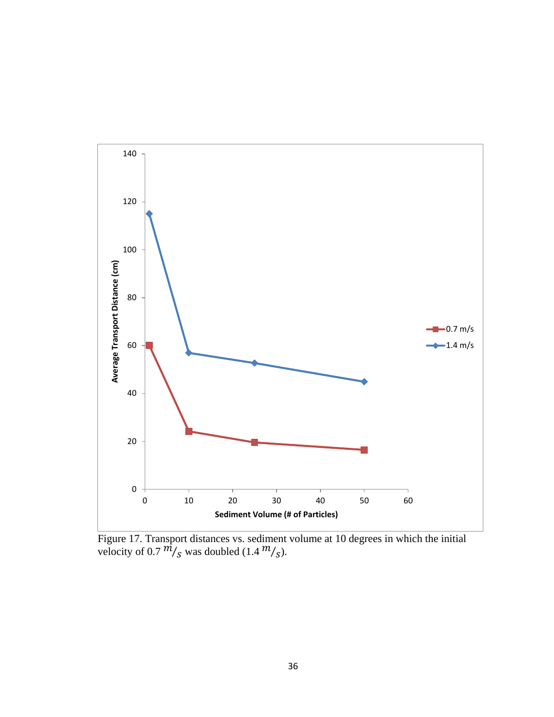

Figure 17. Transport distances vs. sediment volume at 10 degrees in which the initial velocity of 0.7  $\frac{m}{s}$  was doubled (1.4  $\frac{m}{s}$ ).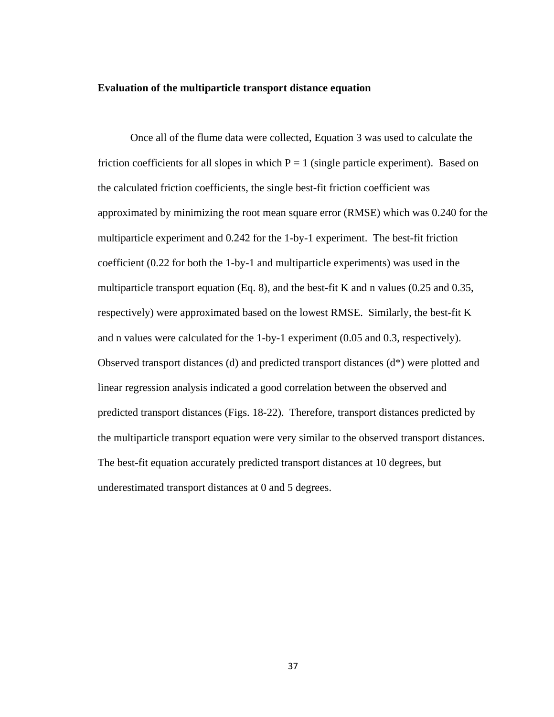#### **Evaluation of the multiparticle transport distance equation**

Once all of the flume data were collected, Equation 3 was used to calculate the friction coefficients for all slopes in which  $P = 1$  (single particle experiment). Based on the calculated friction coefficients, the single best-fit friction coefficient was approximated by minimizing the root mean square error (RMSE) which was 0.240 for the multiparticle experiment and 0.242 for the 1-by-1 experiment. The best-fit friction coefficient (0.22 for both the 1-by-1 and multiparticle experiments) was used in the multiparticle transport equation (Eq. 8), and the best-fit K and n values (0.25 and 0.35, respectively) were approximated based on the lowest RMSE. Similarly, the best-fit K and n values were calculated for the 1-by-1 experiment (0.05 and 0.3, respectively). Observed transport distances (d) and predicted transport distances (d\*) were plotted and linear regression analysis indicated a good correlation between the observed and predicted transport distances (Figs. 18-22). Therefore, transport distances predicted by the multiparticle transport equation were very similar to the observed transport distances. The best-fit equation accurately predicted transport distances at 10 degrees, but underestimated transport distances at 0 and 5 degrees.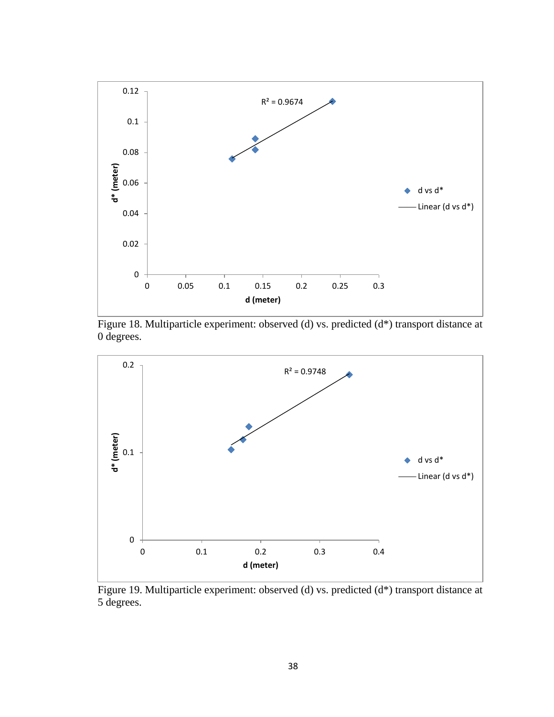

Figure 18. Multiparticle experiment: observed (d) vs. predicted (d\*) transport distance at 0 degrees.



Figure 19. Multiparticle experiment: observed (d) vs. predicted (d\*) transport distance at 5 degrees.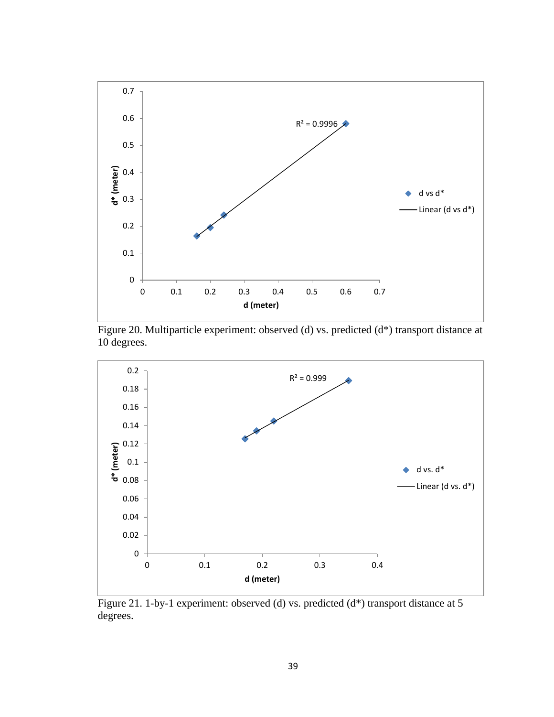

Figure 20. Multiparticle experiment: observed (d) vs. predicted (d\*) transport distance at 10 degrees.



Figure 21. 1-by-1 experiment: observed (d) vs. predicted (d\*) transport distance at 5 degrees.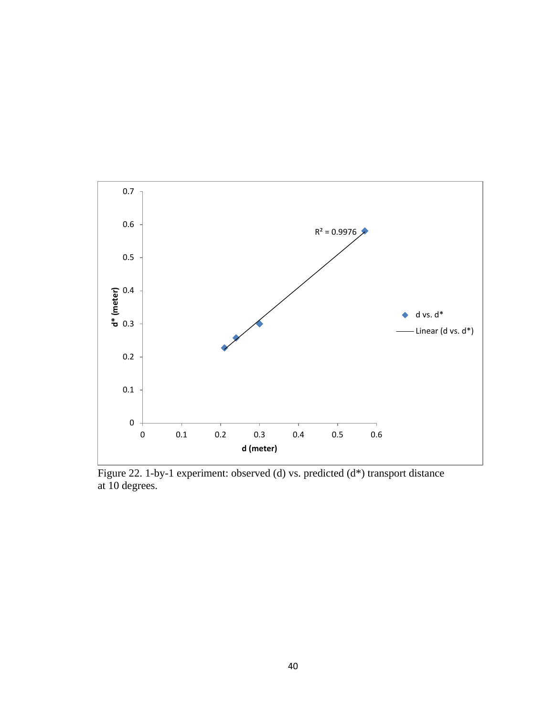

Figure 22. 1-by-1 experiment: observed (d) vs. predicted (d\*) transport distance at 10 degrees.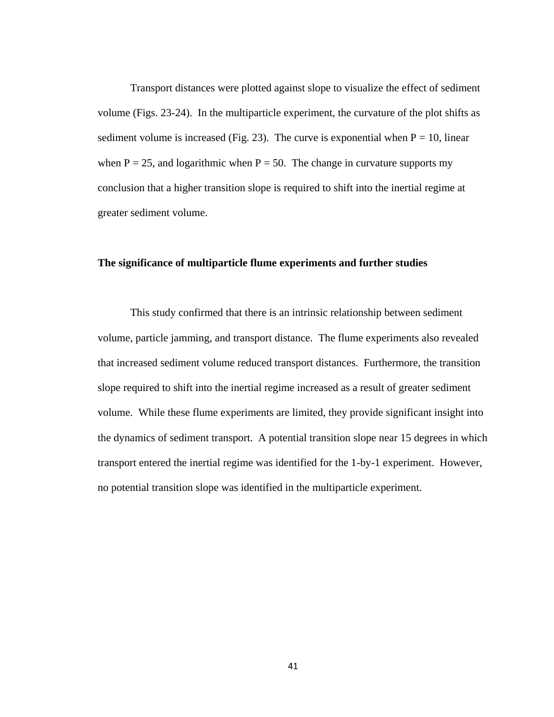Transport distances were plotted against slope to visualize the effect of sediment volume (Figs. 23-24). In the multiparticle experiment, the curvature of the plot shifts as sediment volume is increased (Fig. 23). The curve is exponential when  $P = 10$ , linear when  $P = 25$ , and logarithmic when  $P = 50$ . The change in curvature supports my conclusion that a higher transition slope is required to shift into the inertial regime at greater sediment volume.

#### **The significance of multiparticle flume experiments and further studies**

This study confirmed that there is an intrinsic relationship between sediment volume, particle jamming, and transport distance. The flume experiments also revealed that increased sediment volume reduced transport distances. Furthermore, the transition slope required to shift into the inertial regime increased as a result of greater sediment volume. While these flume experiments are limited, they provide significant insight into the dynamics of sediment transport. A potential transition slope near 15 degrees in which transport entered the inertial regime was identified for the 1-by-1 experiment. However, no potential transition slope was identified in the multiparticle experiment.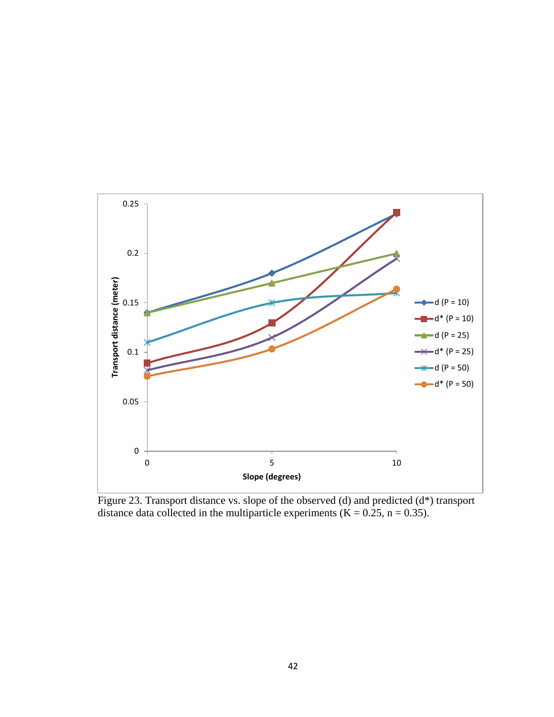

Figure 23. Transport distance vs. slope of the observed (d) and predicted (d\*) transport distance data collected in the multiparticle experiments  $(K = 0.25, n = 0.35)$ .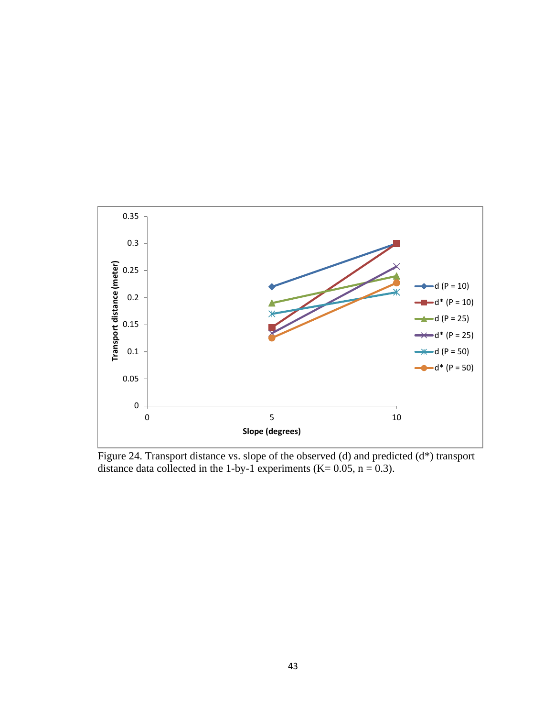

Figure 24. Transport distance vs. slope of the observed (d) and predicted (d\*) transport distance data collected in the 1-by-1 experiments (K=  $0.05$ , n =  $0.3$ ).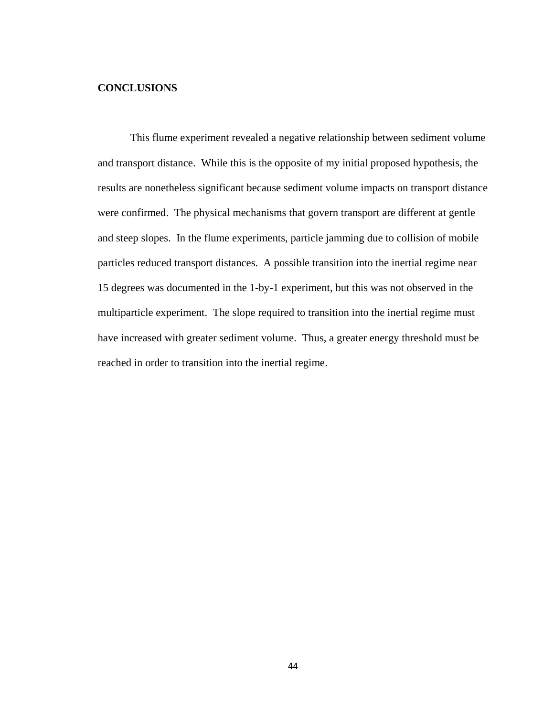#### **CONCLUSIONS**

This flume experiment revealed a negative relationship between sediment volume and transport distance. While this is the opposite of my initial proposed hypothesis, the results are nonetheless significant because sediment volume impacts on transport distance were confirmed. The physical mechanisms that govern transport are different at gentle and steep slopes. In the flume experiments, particle jamming due to collision of mobile particles reduced transport distances. A possible transition into the inertial regime near 15 degrees was documented in the 1-by-1 experiment, but this was not observed in the multiparticle experiment. The slope required to transition into the inertial regime must have increased with greater sediment volume. Thus, a greater energy threshold must be reached in order to transition into the inertial regime.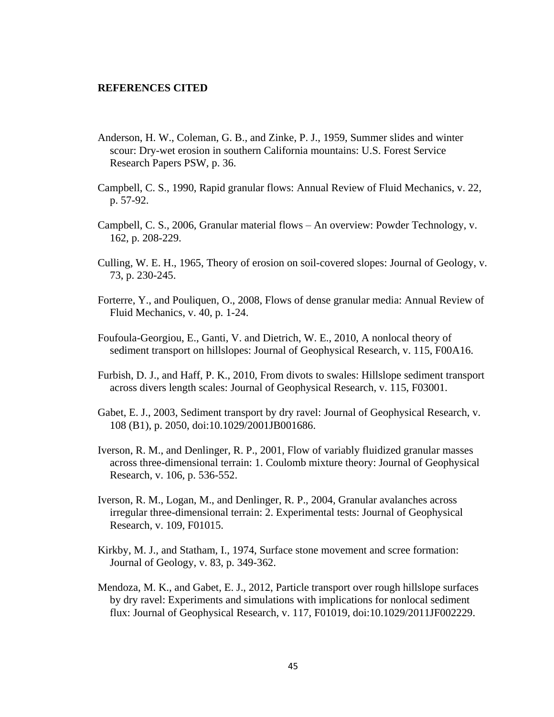#### **REFERENCES CITED**

- Anderson, H. W., Coleman, G. B., and Zinke, P. J., 1959, Summer slides and winter scour: Dry-wet erosion in southern California mountains: U.S. Forest Service Research Papers PSW, p. 36.
- Campbell, C. S., 1990, Rapid granular flows: Annual Review of Fluid Mechanics, v. 22, p. 57-92.
- Campbell, C. S., 2006, Granular material flows An overview: Powder Technology, v. 162, p. 208-229.
- Culling, W. E. H., 1965, Theory of erosion on soil-covered slopes: Journal of Geology, v. 73, p. 230-245.
- Forterre, Y., and Pouliquen, O., 2008, Flows of dense granular media: Annual Review of Fluid Mechanics, v. 40, p. 1-24.
- Foufoula-Georgiou, E., Ganti, V. and Dietrich, W. E., 2010, A nonlocal theory of sediment transport on hillslopes: Journal of Geophysical Research, v. 115, F00A16.
- Furbish, D. J., and Haff, P. K., 2010, From divots to swales: Hillslope sediment transport across divers length scales: Journal of Geophysical Research, v. 115, F03001.
- Gabet, E. J., 2003, Sediment transport by dry ravel: Journal of Geophysical Research, v. 108 (B1), p. 2050, doi:10.1029/2001JB001686.
- Iverson, R. M., and Denlinger, R. P., 2001, Flow of variably fluidized granular masses across three-dimensional terrain: 1. Coulomb mixture theory: Journal of Geophysical Research, v. 106, p. 536-552.
- Iverson, R. M., Logan, M., and Denlinger, R. P., 2004, Granular avalanches across irregular three-dimensional terrain: 2. Experimental tests: Journal of Geophysical Research, v. 109, F01015.
- Kirkby, M. J., and Statham, I., 1974, Surface stone movement and scree formation: Journal of Geology, v. 83, p. 349-362.
- Mendoza, M. K., and Gabet, E. J., 2012, Particle transport over rough hillslope surfaces by dry ravel: Experiments and simulations with implications for nonlocal sediment flux: Journal of Geophysical Research, v. 117, F01019, doi:10.1029/2011JF002229.